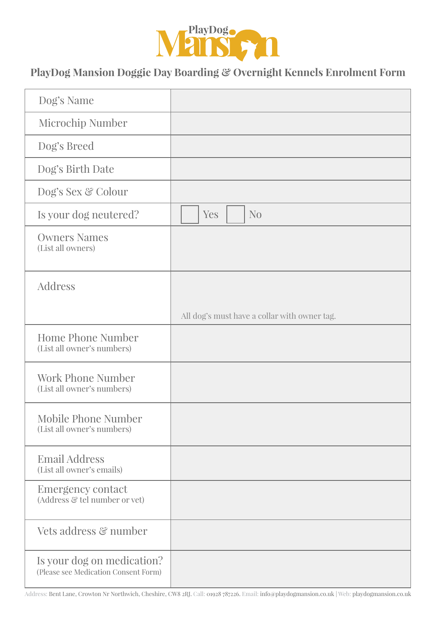

## **PlayDog Mansion Doggie Day Boarding & Overnight Kennels Enrolment Form**

| Dog's Name                                                         |                                              |
|--------------------------------------------------------------------|----------------------------------------------|
| Microchip Number                                                   |                                              |
| Dog's Breed                                                        |                                              |
| Dog's Birth Date                                                   |                                              |
| Dog's Sex & Colour                                                 |                                              |
| Is your dog neutered?                                              | N <sub>0</sub><br>Yes                        |
| <b>Owners Names</b><br>(List all owners)                           |                                              |
| Address                                                            |                                              |
|                                                                    | All dog's must have a collar with owner tag. |
| <b>Home Phone Number</b><br>(List all owner's numbers)             |                                              |
| <b>Work Phone Number</b><br>(List all owner's numbers)             |                                              |
| Mobile Phone Number<br>(List all owner's numbers)                  |                                              |
| <b>Email Address</b><br>(List all owner's emails)                  |                                              |
| <b>Emergency contact</b><br>(Address & tel number or vet)          |                                              |
| Vets address & number                                              |                                              |
| Is your dog on medication?<br>(Please see Medication Consent Form) |                                              |

Address: Bent Lane, Crowton Nr Northwich, Cheshire, CW8 2RJ. Call: 01928 787226. Email: info@playdogmansion.co.uk | Web: playdogmansion.co.uk